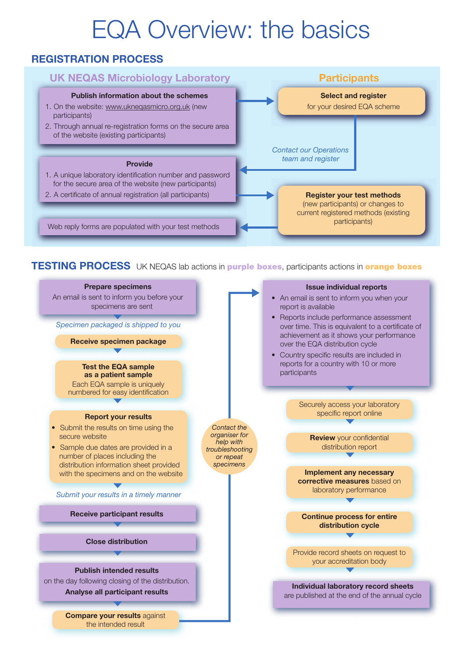# EQA Overview: the basics

### REGISTRATION PROCESS



#### **TESTING PROCESS** UK NEQAS lab actions in **purple boxes**, participants actions in **orange boxes**